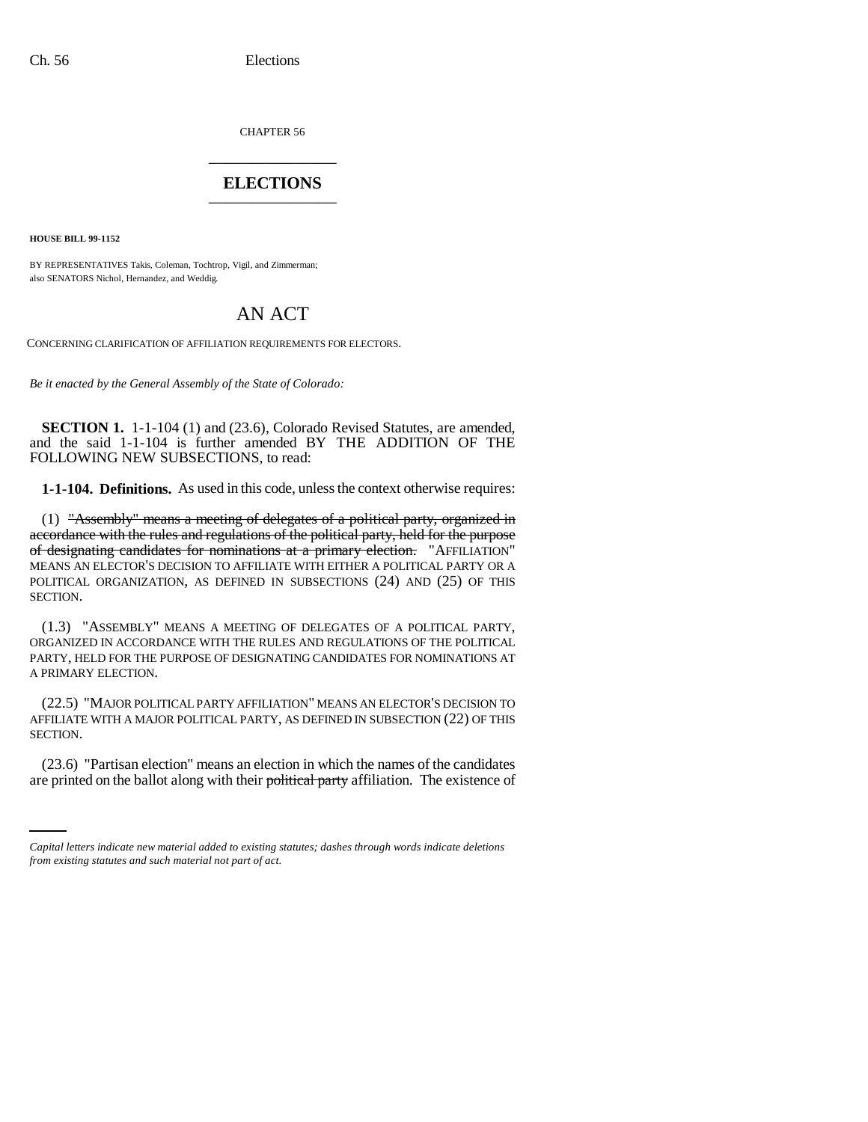CHAPTER 56 \_\_\_\_\_\_\_\_\_\_\_\_\_\_\_

# **ELECTIONS** \_\_\_\_\_\_\_\_\_\_\_\_\_\_\_

**HOUSE BILL 99-1152** 

BY REPRESENTATIVES Takis, Coleman, Tochtrop, Vigil, and Zimmerman; also SENATORS Nichol, Hernandez, and Weddig.

# AN ACT

CONCERNING CLARIFICATION OF AFFILIATION REQUIREMENTS FOR ELECTORS.

*Be it enacted by the General Assembly of the State of Colorado:*

**SECTION 1.** 1-1-104 (1) and (23.6), Colorado Revised Statutes, are amended, and the said 1-1-104 is further amended BY THE ADDITION OF THE FOLLOWING NEW SUBSECTIONS, to read:

**1-1-104. Definitions.** As used in this code, unless the context otherwise requires:

(1) "Assembly" means a meeting of delegates of a political party, organized in accordance with the rules and regulations of the political party, held for the purpose of designating candidates for nominations at a primary election. "AFFILIATION" MEANS AN ELECTOR'S DECISION TO AFFILIATE WITH EITHER A POLITICAL PARTY OR A POLITICAL ORGANIZATION, AS DEFINED IN SUBSECTIONS (24) AND (25) OF THIS SECTION.

(1.3) "ASSEMBLY" MEANS A MEETING OF DELEGATES OF A POLITICAL PARTY, ORGANIZED IN ACCORDANCE WITH THE RULES AND REGULATIONS OF THE POLITICAL PARTY, HELD FOR THE PURPOSE OF DESIGNATING CANDIDATES FOR NOMINATIONS AT A PRIMARY ELECTION.

(22.5) "MAJOR POLITICAL PARTY AFFILIATION" MEANS AN ELECTOR'S DECISION TO AFFILIATE WITH A MAJOR POLITICAL PARTY, AS DEFINED IN SUBSECTION (22) OF THIS SECTION.

(23.6) "Partisan election" means an election in which the names of the candidates are printed on the ballot along with their political party affiliation. The existence of

*Capital letters indicate new material added to existing statutes; dashes through words indicate deletions from existing statutes and such material not part of act.*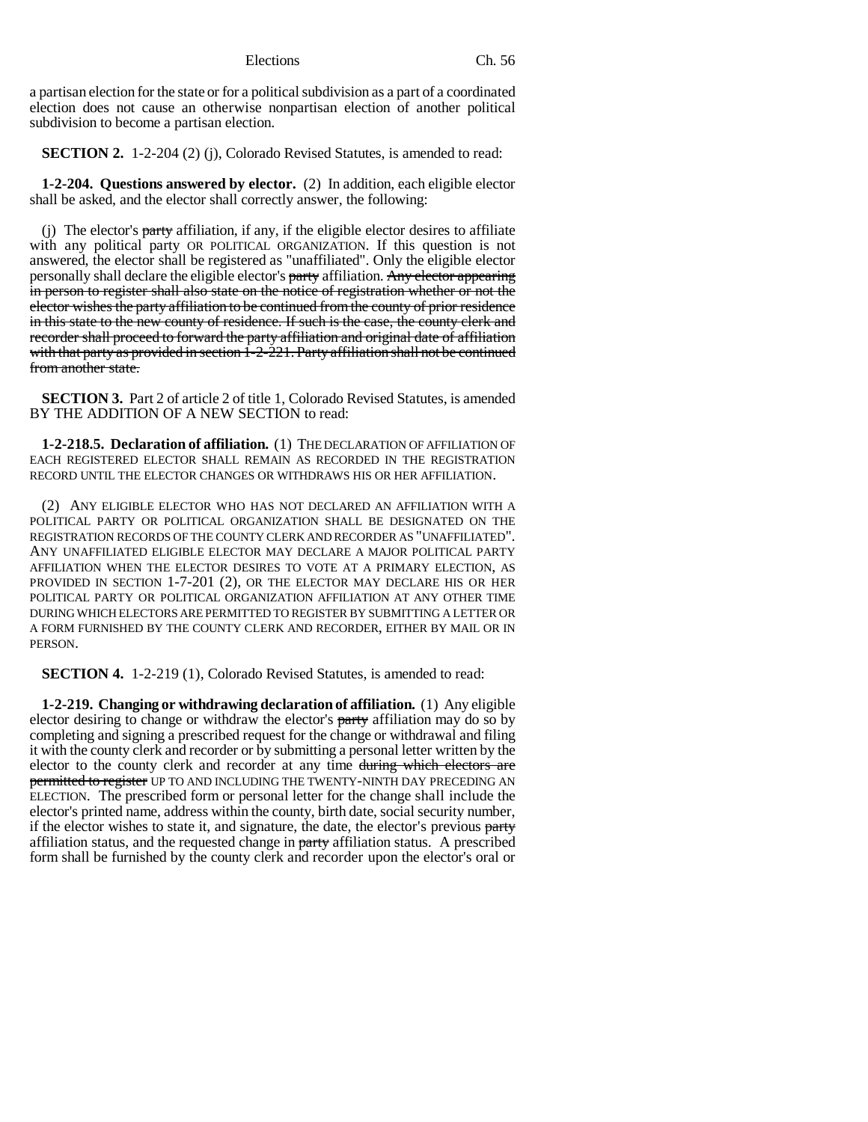a partisan election for the state or for a political subdivision as a part of a coordinated election does not cause an otherwise nonpartisan election of another political subdivision to become a partisan election.

**SECTION 2.** 1-2-204 (2) (j), Colorado Revised Statutes, is amended to read:

**1-2-204. Questions answered by elector.** (2) In addition, each eligible elector shall be asked, and the elector shall correctly answer, the following:

(j) The elector's  $party$  affiliation, if any, if the eligible elector desires to affiliate with any political party OR POLITICAL ORGANIZATION. If this question is not answered, the elector shall be registered as "unaffiliated". Only the eligible elector personally shall declare the eligible elector's party affiliation. Any elector appearing in person to register shall also state on the notice of registration whether or not the elector wishes the party affiliation to be continued from the county of prior residence in this state to the new county of residence. If such is the case, the county clerk and recorder shall proceed to forward the party affiliation and original date of affiliation with that party as provided in section  $1-2-221$ . Party affiliation shall not be continued from another state.

**SECTION 3.** Part 2 of article 2 of title 1, Colorado Revised Statutes, is amended BY THE ADDITION OF A NEW SECTION to read:

**1-2-218.5. Declaration of affiliation.** (1) THE DECLARATION OF AFFILIATION OF EACH REGISTERED ELECTOR SHALL REMAIN AS RECORDED IN THE REGISTRATION RECORD UNTIL THE ELECTOR CHANGES OR WITHDRAWS HIS OR HER AFFILIATION.

(2) ANY ELIGIBLE ELECTOR WHO HAS NOT DECLARED AN AFFILIATION WITH A POLITICAL PARTY OR POLITICAL ORGANIZATION SHALL BE DESIGNATED ON THE REGISTRATION RECORDS OF THE COUNTY CLERK AND RECORDER AS "UNAFFILIATED". ANY UNAFFILIATED ELIGIBLE ELECTOR MAY DECLARE A MAJOR POLITICAL PARTY AFFILIATION WHEN THE ELECTOR DESIRES TO VOTE AT A PRIMARY ELECTION, AS PROVIDED IN SECTION 1-7-201 (2), OR THE ELECTOR MAY DECLARE HIS OR HER POLITICAL PARTY OR POLITICAL ORGANIZATION AFFILIATION AT ANY OTHER TIME DURING WHICH ELECTORS ARE PERMITTED TO REGISTER BY SUBMITTING A LETTER OR A FORM FURNISHED BY THE COUNTY CLERK AND RECORDER, EITHER BY MAIL OR IN PERSON.

**SECTION 4.** 1-2-219 (1), Colorado Revised Statutes, is amended to read:

**1-2-219. Changing or withdrawing declaration of affiliation.** (1) Any eligible elector desiring to change or withdraw the elector's party affiliation may do so by completing and signing a prescribed request for the change or withdrawal and filing it with the county clerk and recorder or by submitting a personal letter written by the elector to the county clerk and recorder at any time during which electors are permitted to register UP TO AND INCLUDING THE TWENTY-NINTH DAY PRECEDING AN ELECTION. The prescribed form or personal letter for the change shall include the elector's printed name, address within the county, birth date, social security number, if the elector wishes to state it, and signature, the date, the elector's previous party affiliation status, and the requested change in party affiliation status. A prescribed form shall be furnished by the county clerk and recorder upon the elector's oral or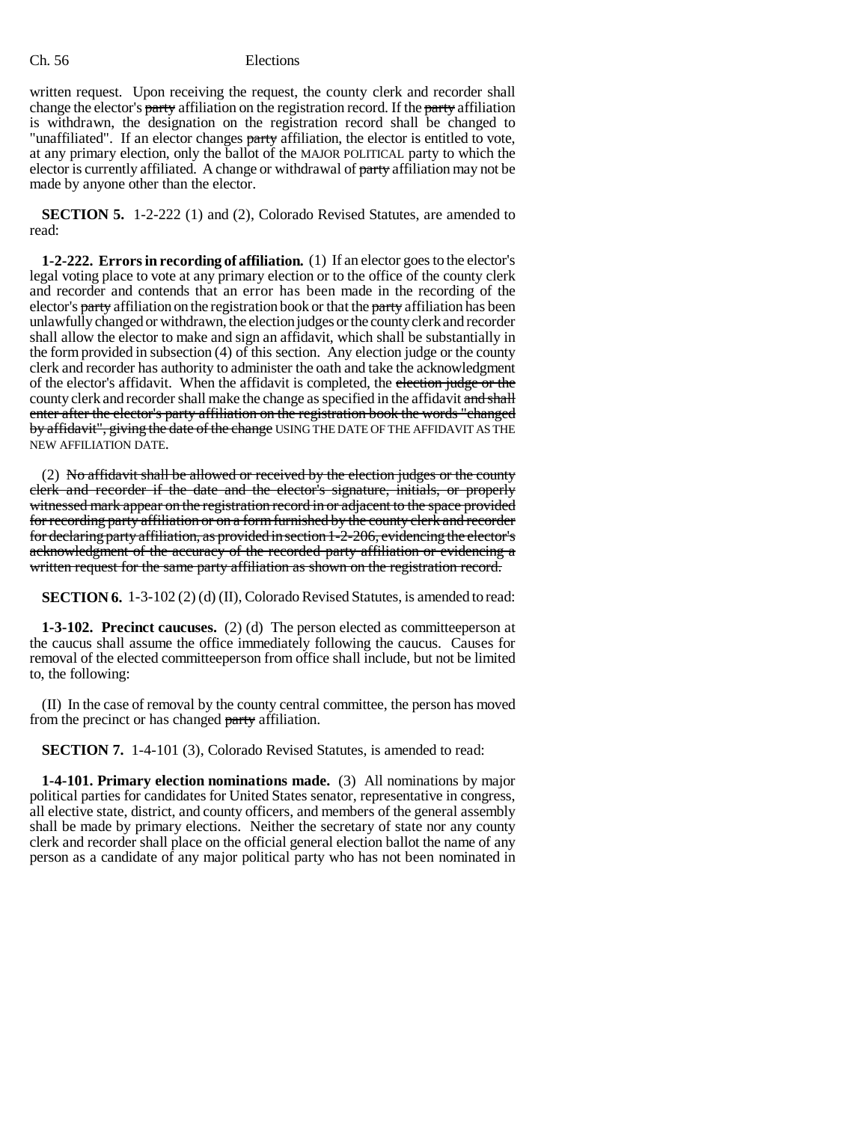### Ch. 56 Elections

written request. Upon receiving the request, the county clerk and recorder shall change the elector's party affiliation on the registration record. If the party affiliation is withdrawn, the designation on the registration record shall be changed to "unaffiliated". If an elector changes party affiliation, the elector is entitled to vote, at any primary election, only the ballot of the MAJOR POLITICAL party to which the elector is currently affiliated. A change or withdrawal of party affiliation may not be made by anyone other than the elector.

**SECTION 5.** 1-2-222 (1) and (2), Colorado Revised Statutes, are amended to read:

**1-2-222. Errors in recording of affiliation.** (1) If an elector goes to the elector's legal voting place to vote at any primary election or to the office of the county clerk and recorder and contends that an error has been made in the recording of the elector's **party** affiliation on the registration book or that the **party** affiliation has been unlawfully changed or withdrawn, the election judges or the county clerk and recorder shall allow the elector to make and sign an affidavit, which shall be substantially in the form provided in subsection (4) of this section. Any election judge or the county clerk and recorder has authority to administer the oath and take the acknowledgment of the elector's affidavit. When the affidavit is completed, the election judge or the county clerk and recorder shall make the change as specified in the affidavit and shall enter after the elector's party affiliation on the registration book the words "changed by affidavit", giving the date of the change USING THE DATE OF THE AFFIDAVIT AS THE NEW AFFILIATION DATE.

(2) No affidavit shall be allowed or received by the election judges or the county clerk and recorder if the date and the elector's signature, initials, or properly witnessed mark appear on the registration record in or adjacent to the space provided for recording party affiliation or on a form furnished by the county clerk and recorder for declaring party affiliation, as provided in section 1-2-206, evidencing the elector's acknowledgment of the accuracy of the recorded party affiliation or evidencing a written request for the same party affiliation as shown on the registration record.

**SECTION 6.** 1-3-102 (2) (d) (II), Colorado Revised Statutes, is amended to read:

**1-3-102. Precinct caucuses.** (2) (d) The person elected as committeeperson at the caucus shall assume the office immediately following the caucus. Causes for removal of the elected committeeperson from office shall include, but not be limited to, the following:

(II) In the case of removal by the county central committee, the person has moved from the precinct or has changed party affiliation.

**SECTION 7.** 1-4-101 (3), Colorado Revised Statutes, is amended to read:

**1-4-101. Primary election nominations made.** (3) All nominations by major political parties for candidates for United States senator, representative in congress, all elective state, district, and county officers, and members of the general assembly shall be made by primary elections. Neither the secretary of state nor any county clerk and recorder shall place on the official general election ballot the name of any person as a candidate of any major political party who has not been nominated in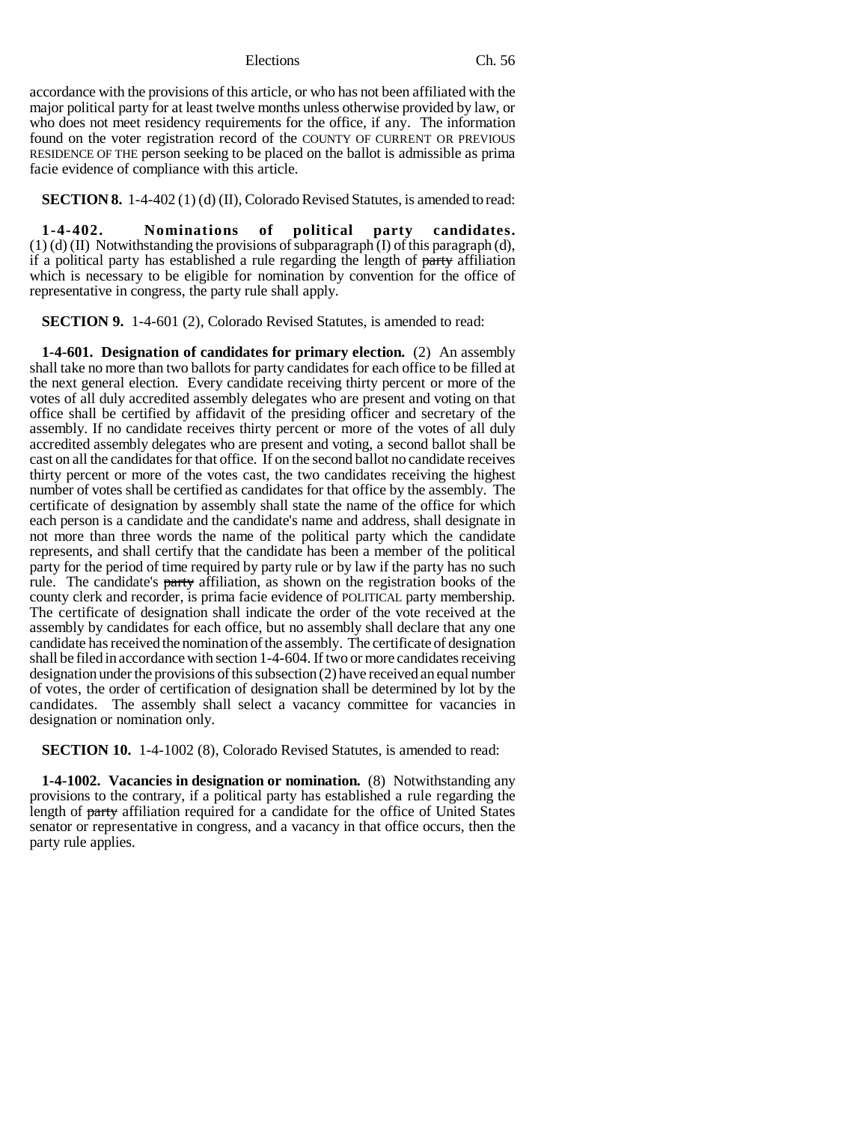accordance with the provisions of this article, or who has not been affiliated with the major political party for at least twelve months unless otherwise provided by law, or who does not meet residency requirements for the office, if any. The information found on the voter registration record of the COUNTY OF CURRENT OR PREVIOUS RESIDENCE OF THE person seeking to be placed on the ballot is admissible as prima facie evidence of compliance with this article.

**SECTION 8.** 1-4-402 (1) (d) (II), Colorado Revised Statutes, is amended to read:

**1-4-402. Nominations of political party candidates.**  $(1)$  (d) (II) Notwithstanding the provisions of subparagraph (I) of this paragraph (d), if a political party has established a rule regarding the length of party affiliation which is necessary to be eligible for nomination by convention for the office of representative in congress, the party rule shall apply.

**SECTION 9.** 1-4-601 (2), Colorado Revised Statutes, is amended to read:

**1-4-601. Designation of candidates for primary election.** (2) An assembly shall take no more than two ballots for party candidates for each office to be filled at the next general election. Every candidate receiving thirty percent or more of the votes of all duly accredited assembly delegates who are present and voting on that office shall be certified by affidavit of the presiding officer and secretary of the assembly. If no candidate receives thirty percent or more of the votes of all duly accredited assembly delegates who are present and voting, a second ballot shall be cast on all the candidates for that office. If on the second ballot no candidate receives thirty percent or more of the votes cast, the two candidates receiving the highest number of votes shall be certified as candidates for that office by the assembly. The certificate of designation by assembly shall state the name of the office for which each person is a candidate and the candidate's name and address, shall designate in not more than three words the name of the political party which the candidate represents, and shall certify that the candidate has been a member of the political party for the period of time required by party rule or by law if the party has no such rule. The candidate's party affiliation, as shown on the registration books of the county clerk and recorder, is prima facie evidence of POLITICAL party membership. The certificate of designation shall indicate the order of the vote received at the assembly by candidates for each office, but no assembly shall declare that any one candidate has received the nomination of the assembly. The certificate of designation shall be filed in accordance with section 1-4-604. If two or more candidates receiving designation under the provisions of this subsection (2) have received an equal number of votes, the order of certification of designation shall be determined by lot by the candidates. The assembly shall select a vacancy committee for vacancies in designation or nomination only.

**SECTION 10.** 1-4-1002 (8), Colorado Revised Statutes, is amended to read:

**1-4-1002. Vacancies in designation or nomination.** (8) Notwithstanding any provisions to the contrary, if a political party has established a rule regarding the length of party affiliation required for a candidate for the office of United States senator or representative in congress, and a vacancy in that office occurs, then the party rule applies.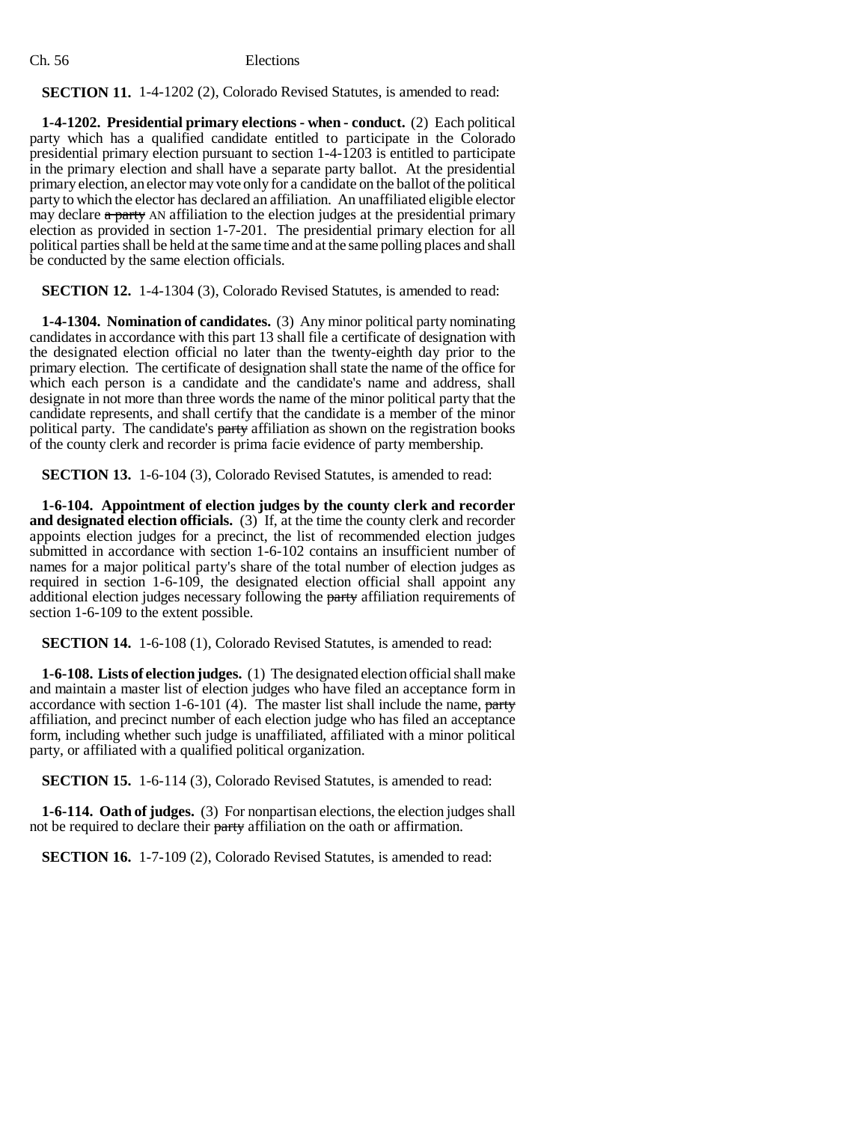# **SECTION 11.** 1-4-1202 (2), Colorado Revised Statutes, is amended to read:

**1-4-1202. Presidential primary elections - when - conduct.** (2) Each political party which has a qualified candidate entitled to participate in the Colorado presidential primary election pursuant to section 1-4-1203 is entitled to participate in the primary election and shall have a separate party ballot. At the presidential primary election, an elector may vote only for a candidate on the ballot of the political party to which the elector has declared an affiliation. An unaffiliated eligible elector may declare a party AN affiliation to the election judges at the presidential primary election as provided in section 1-7-201. The presidential primary election for all political parties shall be held at the same time and at the same polling places and shall be conducted by the same election officials.

**SECTION 12.** 1-4-1304 (3), Colorado Revised Statutes, is amended to read:

**1-4-1304. Nomination of candidates.** (3) Any minor political party nominating candidates in accordance with this part 13 shall file a certificate of designation with the designated election official no later than the twenty-eighth day prior to the primary election. The certificate of designation shall state the name of the office for which each person is a candidate and the candidate's name and address, shall designate in not more than three words the name of the minor political party that the candidate represents, and shall certify that the candidate is a member of the minor political party. The candidate's party affiliation as shown on the registration books of the county clerk and recorder is prima facie evidence of party membership.

**SECTION 13.** 1-6-104 (3), Colorado Revised Statutes, is amended to read:

**1-6-104. Appointment of election judges by the county clerk and recorder and designated election officials.** (3) If, at the time the county clerk and recorder appoints election judges for a precinct, the list of recommended election judges submitted in accordance with section 1-6-102 contains an insufficient number of names for a major political party's share of the total number of election judges as required in section 1-6-109, the designated election official shall appoint any additional election judges necessary following the party affiliation requirements of section 1-6-109 to the extent possible.

**SECTION 14.** 1-6-108 (1), Colorado Revised Statutes, is amended to read:

**1-6-108. Lists of election judges.** (1) The designated election official shall make and maintain a master list of election judges who have filed an acceptance form in accordance with section  $1-6-101$  (4). The master list shall include the name, party affiliation, and precinct number of each election judge who has filed an acceptance form, including whether such judge is unaffiliated, affiliated with a minor political party, or affiliated with a qualified political organization.

**SECTION 15.** 1-6-114 (3), Colorado Revised Statutes, is amended to read:

**1-6-114. Oath of judges.** (3) For nonpartisan elections, the election judges shall not be required to declare their party affiliation on the oath or affirmation.

**SECTION 16.** 1-7-109 (2), Colorado Revised Statutes, is amended to read: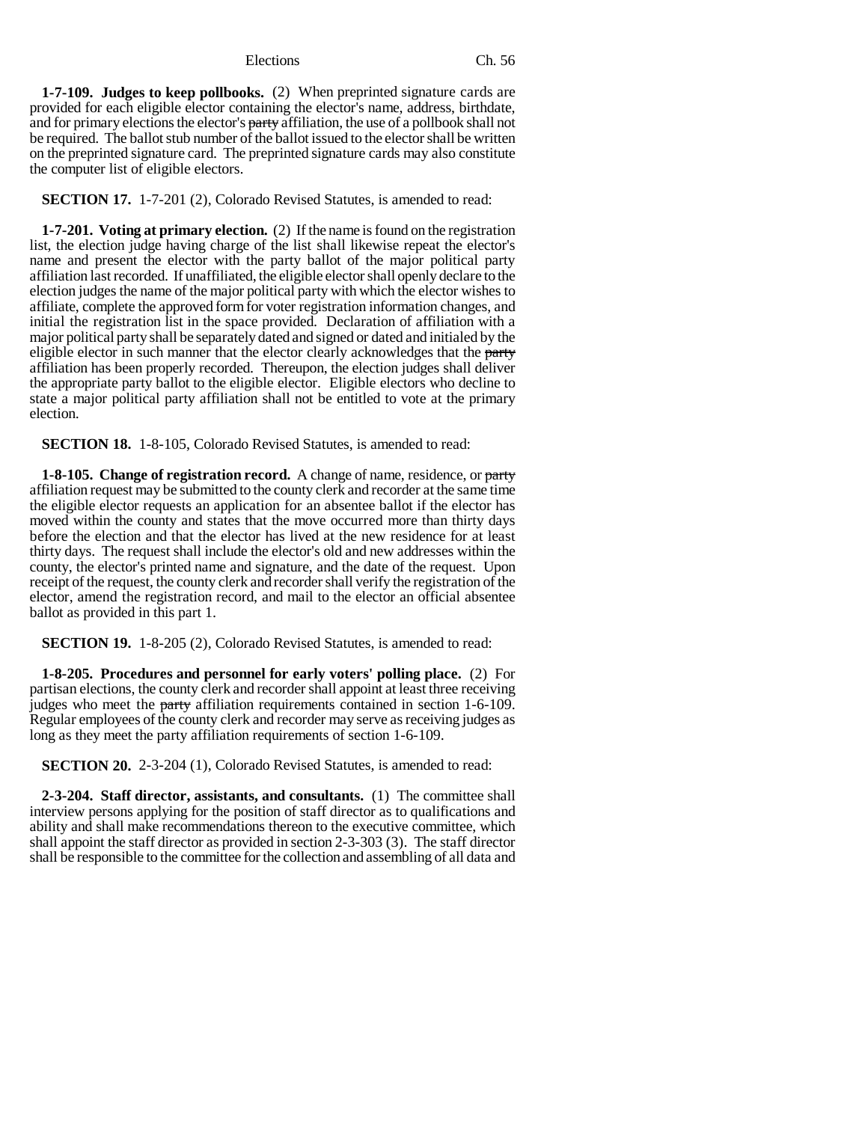**1-7-109. Judges to keep pollbooks.** (2) When preprinted signature cards are provided for each eligible elector containing the elector's name, address, birthdate, and for primary elections the elector's party affiliation, the use of a pollbook shall not be required. The ballot stub number of the ballot issued to the elector shall be written on the preprinted signature card. The preprinted signature cards may also constitute the computer list of eligible electors.

**SECTION 17.** 1-7-201 (2), Colorado Revised Statutes, is amended to read:

**1-7-201. Voting at primary election.** (2) If the name is found on the registration list, the election judge having charge of the list shall likewise repeat the elector's name and present the elector with the party ballot of the major political party affiliation last recorded. If unaffiliated, the eligible elector shall openly declare to the election judges the name of the major political party with which the elector wishes to affiliate, complete the approved form for voter registration information changes, and initial the registration list in the space provided. Declaration of affiliation with a major political party shall be separately dated and signed or dated and initialed by the eligible elector in such manner that the elector clearly acknowledges that the party affiliation has been properly recorded. Thereupon, the election judges shall deliver the appropriate party ballot to the eligible elector. Eligible electors who decline to state a major political party affiliation shall not be entitled to vote at the primary election.

**SECTION 18.** 1-8-105, Colorado Revised Statutes, is amended to read:

**1-8-105. Change of registration record.** A change of name, residence, or party affiliation request may be submitted to the county clerk and recorder at the same time the eligible elector requests an application for an absentee ballot if the elector has moved within the county and states that the move occurred more than thirty days before the election and that the elector has lived at the new residence for at least thirty days. The request shall include the elector's old and new addresses within the county, the elector's printed name and signature, and the date of the request. Upon receipt of the request, the county clerk and recorder shall verify the registration of the elector, amend the registration record, and mail to the elector an official absentee ballot as provided in this part 1.

**SECTION 19.** 1-8-205 (2), Colorado Revised Statutes, is amended to read:

**1-8-205. Procedures and personnel for early voters' polling place.** (2) For partisan elections, the county clerk and recorder shall appoint at least three receiving judges who meet the party affiliation requirements contained in section 1-6-109. Regular employees of the county clerk and recorder may serve as receiving judges as long as they meet the party affiliation requirements of section 1-6-109.

**SECTION 20.** 2-3-204 (1), Colorado Revised Statutes, is amended to read:

**2-3-204. Staff director, assistants, and consultants.** (1) The committee shall interview persons applying for the position of staff director as to qualifications and ability and shall make recommendations thereon to the executive committee, which shall appoint the staff director as provided in section 2-3-303 (3). The staff director shall be responsible to the committee for the collection and assembling of all data and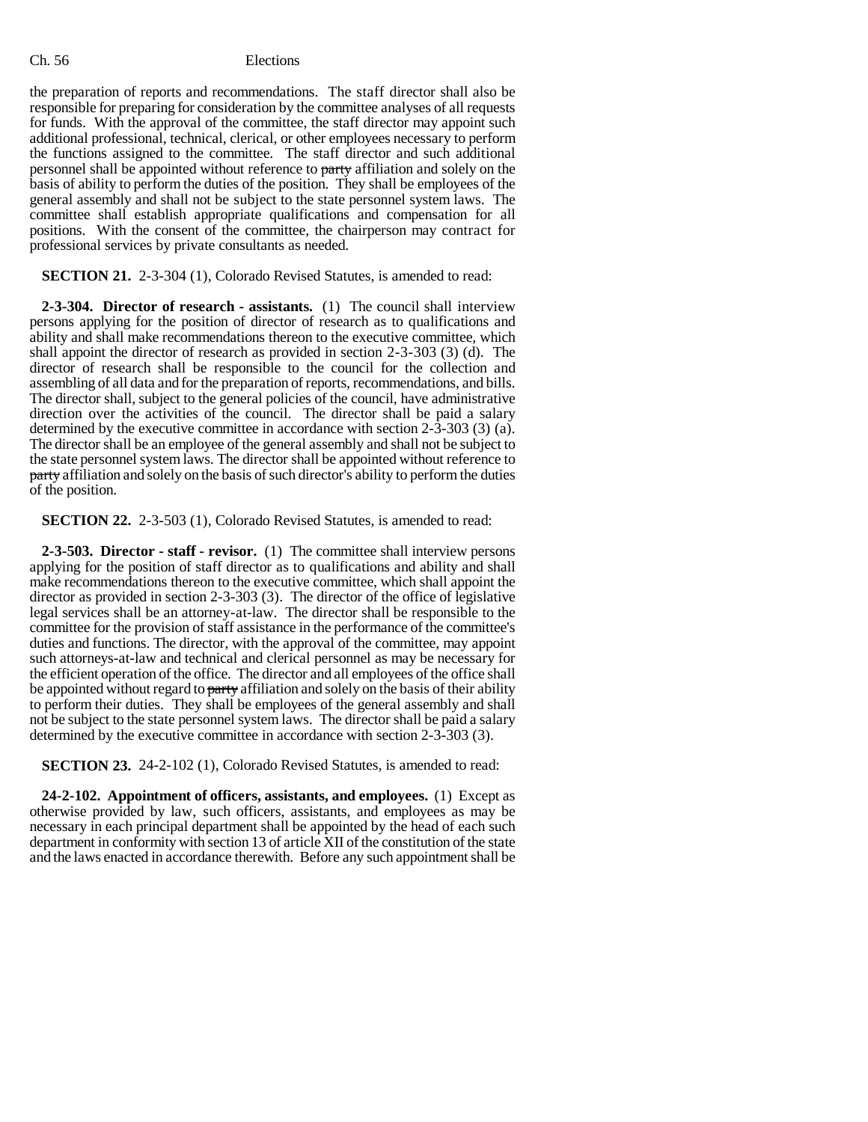## Ch. 56 Elections

the preparation of reports and recommendations. The staff director shall also be responsible for preparing for consideration by the committee analyses of all requests for funds. With the approval of the committee, the staff director may appoint such additional professional, technical, clerical, or other employees necessary to perform the functions assigned to the committee. The staff director and such additional personnel shall be appointed without reference to party affiliation and solely on the basis of ability to perform the duties of the position. They shall be employees of the general assembly and shall not be subject to the state personnel system laws. The committee shall establish appropriate qualifications and compensation for all positions. With the consent of the committee, the chairperson may contract for professional services by private consultants as needed.

**SECTION 21.** 2-3-304 (1), Colorado Revised Statutes, is amended to read:

**2-3-304. Director of research - assistants.** (1) The council shall interview persons applying for the position of director of research as to qualifications and ability and shall make recommendations thereon to the executive committee, which shall appoint the director of research as provided in section 2-3-303 (3) (d). The director of research shall be responsible to the council for the collection and assembling of all data and for the preparation of reports, recommendations, and bills. The director shall, subject to the general policies of the council, have administrative direction over the activities of the council. The director shall be paid a salary determined by the executive committee in accordance with section 2-3-303 (3) (a). The director shall be an employee of the general assembly and shall not be subject to the state personnel system laws. The director shall be appointed without reference to party affiliation and solely on the basis of such director's ability to perform the duties of the position.

**SECTION 22.** 2-3-503 (1), Colorado Revised Statutes, is amended to read:

**2-3-503. Director - staff - revisor.** (1) The committee shall interview persons applying for the position of staff director as to qualifications and ability and shall make recommendations thereon to the executive committee, which shall appoint the director as provided in section 2-3-303 (3). The director of the office of legislative legal services shall be an attorney-at-law. The director shall be responsible to the committee for the provision of staff assistance in the performance of the committee's duties and functions. The director, with the approval of the committee, may appoint such attorneys-at-law and technical and clerical personnel as may be necessary for the efficient operation of the office. The director and all employees of the office shall be appointed without regard to party affiliation and solely on the basis of their ability to perform their duties. They shall be employees of the general assembly and shall not be subject to the state personnel system laws. The director shall be paid a salary determined by the executive committee in accordance with section 2-3-303 (3).

**SECTION 23.** 24-2-102 (1), Colorado Revised Statutes, is amended to read:

**24-2-102. Appointment of officers, assistants, and employees.** (1) Except as otherwise provided by law, such officers, assistants, and employees as may be necessary in each principal department shall be appointed by the head of each such department in conformity with section 13 of article XII of the constitution of the state and the laws enacted in accordance therewith. Before any such appointment shall be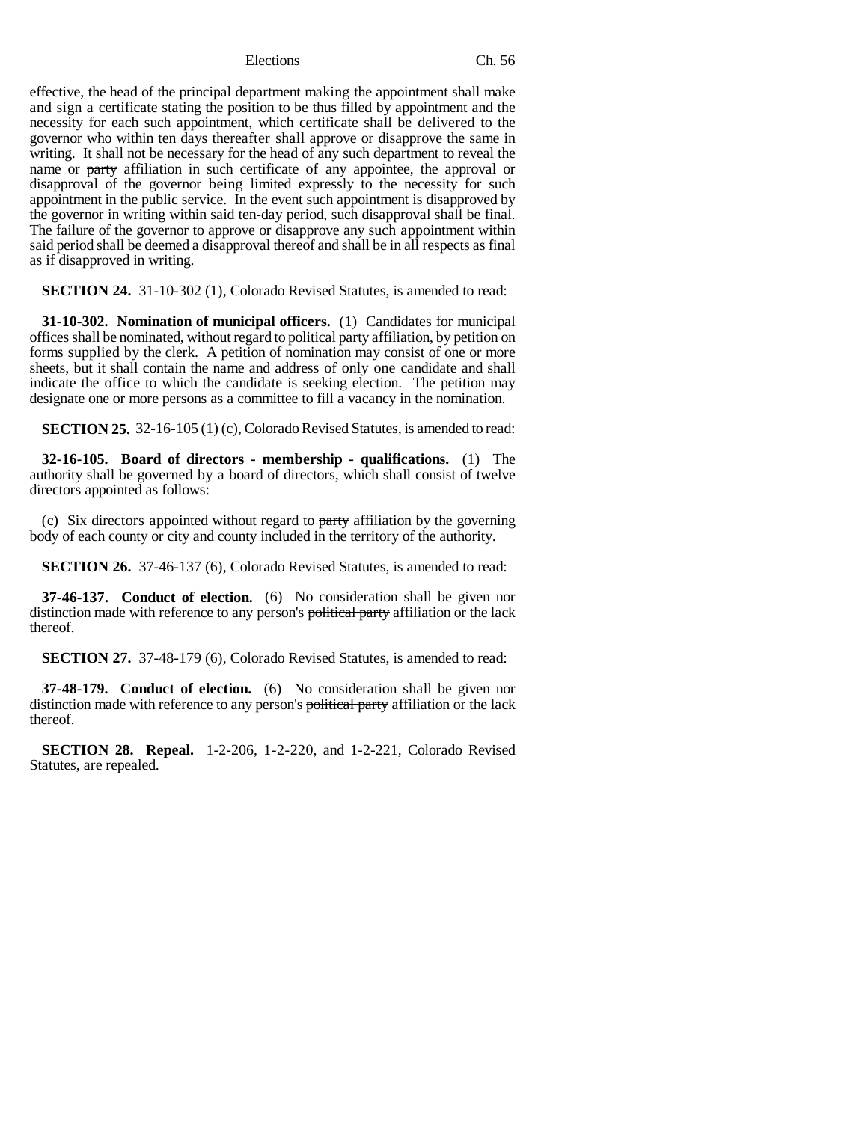effective, the head of the principal department making the appointment shall make and sign a certificate stating the position to be thus filled by appointment and the necessity for each such appointment, which certificate shall be delivered to the governor who within ten days thereafter shall approve or disapprove the same in writing. It shall not be necessary for the head of any such department to reveal the name or party affiliation in such certificate of any appointee, the approval or disapproval of the governor being limited expressly to the necessity for such appointment in the public service. In the event such appointment is disapproved by the governor in writing within said ten-day period, such disapproval shall be final. The failure of the governor to approve or disapprove any such appointment within said period shall be deemed a disapproval thereof and shall be in all respects as final as if disapproved in writing.

**SECTION 24.** 31-10-302 (1), Colorado Revised Statutes, is amended to read:

**31-10-302. Nomination of municipal officers.** (1) Candidates for municipal offices shall be nominated, without regard to political party affiliation, by petition on forms supplied by the clerk. A petition of nomination may consist of one or more sheets, but it shall contain the name and address of only one candidate and shall indicate the office to which the candidate is seeking election. The petition may designate one or more persons as a committee to fill a vacancy in the nomination.

**SECTION 25.** 32-16-105 (1) (c), Colorado Revised Statutes, is amended to read:

**32-16-105. Board of directors - membership - qualifications.** (1) The authority shall be governed by a board of directors, which shall consist of twelve directors appointed as follows:

(c) Six directors appointed without regard to party affiliation by the governing body of each county or city and county included in the territory of the authority.

**SECTION 26.** 37-46-137 (6), Colorado Revised Statutes, is amended to read:

**37-46-137. Conduct of election.** (6) No consideration shall be given nor distinction made with reference to any person's political party affiliation or the lack thereof.

**SECTION 27.** 37-48-179 (6), Colorado Revised Statutes, is amended to read:

**37-48-179. Conduct of election.** (6) No consideration shall be given nor distinction made with reference to any person's political party affiliation or the lack thereof.

**SECTION 28. Repeal.** 1-2-206, 1-2-220, and 1-2-221, Colorado Revised Statutes, are repealed.